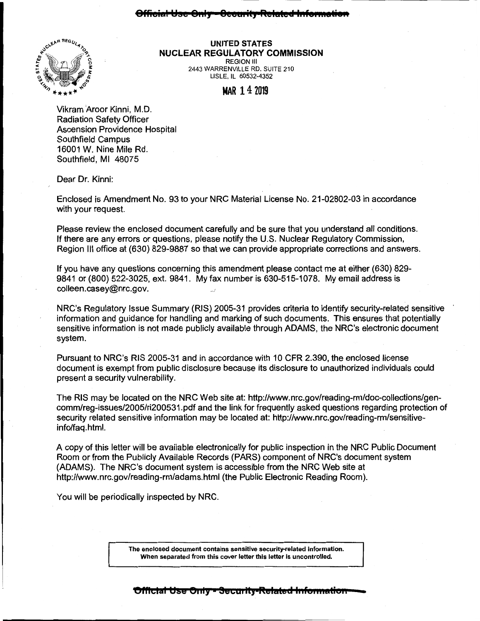## **8FFieial l!be 8::1; 8cca: it; RclalctJ 1::Fs::::atien**



## **UNITED STATES NUCLEAR REGULATORY COMMISSION**  REGION Ill

2443 WARRENVILLE RD. SUITE 210 LISLE, IL 60532-4352

**MAR** 14 2019

Vikram Aroor Kinni, M.D. Radiation Safety Officer Ascension Providence Hospital Southfield Campus 16001 W. Nine Mile Rd. Southfield, Ml 48075

Dear Dr. Kinni:

Enclosed is Amendment No. 93 to your NRC Material License No. 21-02802-03 in accordance with your request.

Please review the enclosed document carefully and be sure that you understand all conditions. If there are any errors or questions, please notify the U.S. Nuclear Regulatory Commission, Region Ill office at (630) 829-9887 so that we can provide appropriate corrections and answers.

If you have any questions concerning this amendment please contact me at either (630) 829- 9841 or (800) 522-3025, ext. 9841. My fax number is 630-515-1078. My email address is colleen.casey@nrc.gov.

NRC's Regulatory Issue Summary (RIS) 2005-31 provides criteria to identify security-related sensitive information and guidance for handling and marking of such documents. This ensures that potentially sensitive information is not made publicly available through ADAMS, the NRC's electronic document system.

Pursuant to NRC's RIS 2005-31 and in accordance with 10 CFR 2.390, the enclosed license document is exempt from public disclosure because its disclosure to unauthorized individuals could present a security vulnerability.

The RIS may be located on the NRC Web site at: http://www.nrc.gov/reading-rm/doc-collections/gencomm/reg-issues/2005/ri200531.pdf and the link for frequently asked questions regarding protection of security related sensitive information may be located at: http://www.nrc.gov/reading-rm/sensitiveinfo/faq.html.

A copy of this letter will be available electronically for public inspection in the NRC Public Document Room or from the Publicly Available Records (PARS) component of NRC's document system (ADAMS). The NRC's document system is accessible from the NRC Web site at http://www.nrc.gov/reading-rm/adams.html (the Public Electronic Reading Room).

You will be periodically inspected by NRC.

The enclosed document contains sensitive security-related information. When separated from this cover letter this letter is uncontrolled.

## **Official Use Only - Security-Related Information**